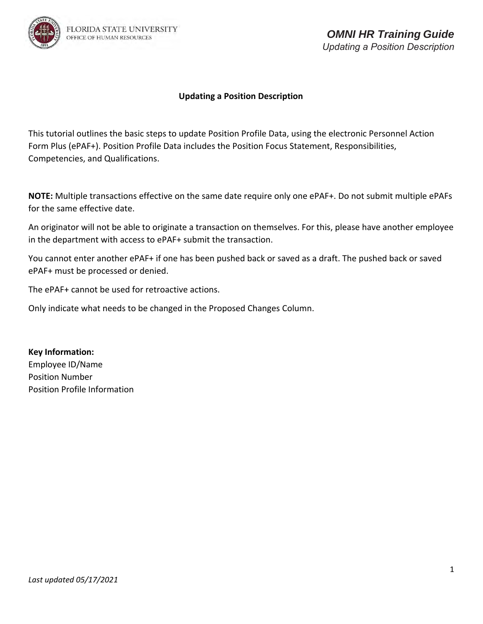

This tutorial outlines the basic steps to update Position Profile Data, using the electronic Personnel Action Form Plus (ePAF+). Position Profile Data includes the Position Focus Statement, Responsibilities, Competencies, and Qualifications.

**NOTE:** Multiple transactions effective on the same date require only one ePAF+. Do not submit multiple ePAFs for the same effective date.

An originator will not be able to originate a transaction on themselves. For this, please have another employee in the department with access to ePAF+ submit the transaction.

You cannot enter another ePAF+ if one has been pushed back or saved as a draft. The pushed back or saved ePAF+ must be processed or denied.

The ePAF+ cannot be used for retroactive actions.

Only indicate what needs to be changed in the Proposed Changes Column.

**Key Information:**  Employee ID/Name Position Number Position Profile Information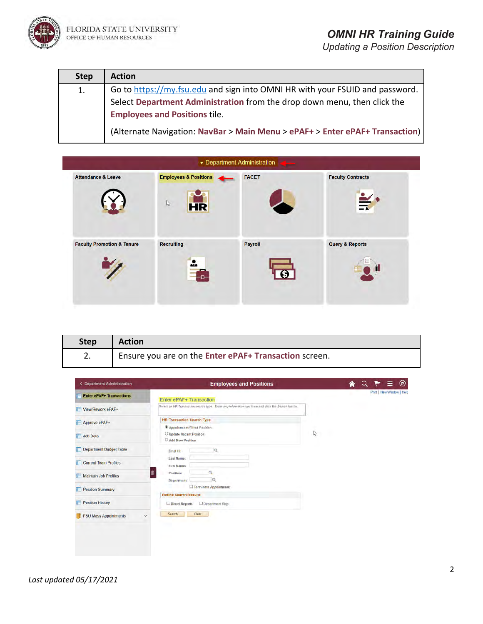

| <b>Step</b> | <b>Action</b>                                                                |
|-------------|------------------------------------------------------------------------------|
| 1.          | Go to https://my.fsu.edu and sign into OMNI HR with your FSUID and password. |
|             | Select Department Administration from the drop down menu, then click the     |
|             | <b>Employees and Positions tile.</b>                                         |
|             | (Alternate Navigation: NavBar > Main Menu > ePAF+ > Enter ePAF+ Transaction) |

|                                       |                                                               | Department Administration<br>حتمل |                                             |  |
|---------------------------------------|---------------------------------------------------------------|-----------------------------------|---------------------------------------------|--|
| <b>Attendance &amp; Leave</b>         | <b>Employees &amp; Positions</b><br>$\mathbb{P}$<br><b>HR</b> | <b>FACET</b>                      | <b>Faculty Contracts</b><br>$\frac{2}{\pi}$ |  |
| <b>Faculty Promotion &amp; Tenure</b> | <b>Recruiting</b><br>$\mathbf{r}$                             | Payroll                           | <b>Query &amp; Reports</b>                  |  |

| <b>Step</b> | <b>Action</b>                                         |
|-------------|-------------------------------------------------------|
| z.          | Ensure you are on the Enter ePAF+ Transaction screen. |

| <b>C</b> Department Administration     | <b>Employees and Positions</b>                                                                    |   | ◉                         |
|----------------------------------------|---------------------------------------------------------------------------------------------------|---|---------------------------|
| <b>Enter ePAF+ Transactions</b>        | Enter ePAF+ Transaction                                                                           |   | Print   New Window   Help |
| View/Rework ePAF+                      | Select an HR Transaction search type. Enter any information you have and click the Search button. |   |                           |
| Approve ePAF+<br>E                     | <b>HR Transaction Search Type</b><br><sup>4</sup> Appointment/Filled Position                     |   |                           |
| Job Data                               | O Update Vacant Position<br>O Add New Position                                                    | ₫ |                           |
| Department Budget Table                | ia.<br>Empt ID:                                                                                   |   |                           |
| <b>Current Team Profiles</b>           | Last Name:<br>First Name:                                                                         |   |                           |
| Maintain Job Profiles                  | a<br>Position:<br>α<br><b>Department:</b>                                                         |   |                           |
| <b>Position Summary</b>                | Terminate Appointment<br><b>Refine Search Results</b>                                             |   |                           |
| <b>Position History</b><br>F           | Direct Reports<br>Department Rep                                                                  |   |                           |
| <b>FSU Mass Appointments</b><br>$\sim$ | Clear<br>Search                                                                                   |   |                           |
|                                        |                                                                                                   |   |                           |
|                                        |                                                                                                   |   |                           |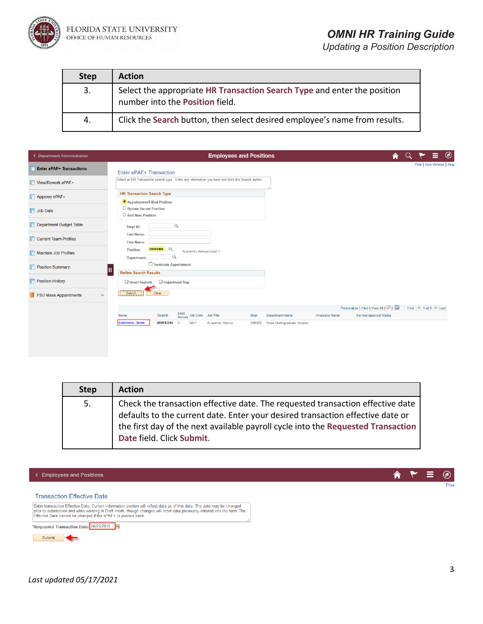

# *OMNI HR Training Guide*

*Updating a Position Description*

| <b>Step</b> | <b>Action</b>                                                                                               |
|-------------|-------------------------------------------------------------------------------------------------------------|
| 3.          | Select the appropriate HR Transaction Search Type and enter the position<br>number into the Position field. |
| 4.          | Click the Search button, then select desired employee's name from results.                                  |

|                                                                                                                                                    |  | $^{\circledR}$<br>Ξ.      |
|----------------------------------------------------------------------------------------------------------------------------------------------------|--|---------------------------|
| <b>Enter ePAF+ Transactions</b><br>Enter ePAF+ Transaction                                                                                         |  | Print   New Window   Help |
| Select an HR Transaction search type. Enter any information you have and click the Search button.<br>View/Rework ePAF+                             |  |                           |
| <b>HR Transaction Search Type</b><br>Approve ePAF+<br>Appointment/Filled Position                                                                  |  |                           |
| O Update Vacant Position<br><b>T</b> Job Data<br>$\bigcirc$ Add New Position                                                                       |  |                           |
| Department Budget Table<br>$\alpha$<br>Empl ID:                                                                                                    |  |                           |
| <b>Last Name:</b><br>Current Team Profiles<br><b>First Name:</b>                                                                                   |  |                           |
| 00099999<br>Position:<br>Academic Advisor Level 1<br>Maintain Job Profiles<br>$\alpha$<br>Department:                                              |  |                           |
| Terminate Appointment<br><b>Position Summary</b><br>Ш<br><b>Refine Search Results</b>                                                              |  |                           |
| <b>Position History</b><br>Direct Reports<br>$\Box$ Department Rep                                                                                 |  |                           |
| Clear<br>Search<br><b>FSU Mass Appointments</b><br>$\checkmark$                                                                                    |  |                           |
| Personalize   Find   View All   2                                                                                                                  |  | First 1 of 1 D Last       |
| Empl<br>Record Job Code Job Title<br>Empl ID<br>Dept<br><b>Department Name</b><br><b>Originator Name</b><br><b>Current Approval Status</b><br>Name |  |                           |
| Seminole, Suzie<br>000012345<br>9451<br>Academic Advisor<br>098000<br>Dean Undergraduate Studies                                                   |  |                           |
|                                                                                                                                                    |  |                           |

| <b>Step</b> | <b>Action</b>                                                                                                                                                                                                                                                                     |
|-------------|-----------------------------------------------------------------------------------------------------------------------------------------------------------------------------------------------------------------------------------------------------------------------------------|
| 5.          | Check the transaction effective date. The requested transaction effective date<br>defaults to the current date. Enter your desired transaction effective date or<br>the first day of the next available payroll cycle into the Requested Transaction<br>Date field. Click Submit. |



合 Ξ  $\circledcirc$ ۴ Print

#### **Transaction Effective Date**

Enter transaction Effective Date. Current Information section will reflect data as of this date. The date may be changed<br>prior to submission and while working in Draft mode, though changes will reset data previously entere \*Requested Transaction Date: 04/25/2018 3 Submit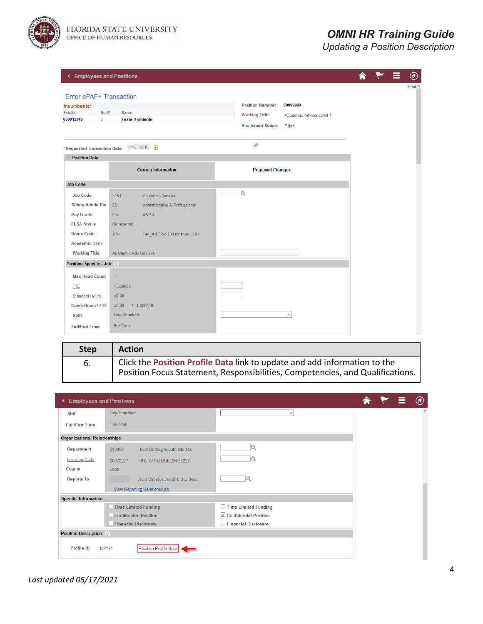

### *OMNI HR Training Guide*

| <b>&lt; Employees and Positions</b>  |                                          |                                                   |  | Ξ | $^{\circledR}$ |
|--------------------------------------|------------------------------------------|---------------------------------------------------|--|---|----------------|
|                                      |                                          |                                                   |  |   | Print $\wedge$ |
| Enter ePAF+ Transaction              |                                          |                                                   |  |   |                |
| Incumbents:<br><b>Emplid</b><br>Rcd# | <b>Name</b>                              | 00099999<br><b>Position Number:</b>               |  |   |                |
| 000012345<br>$\mathbf{0}$            | <b>Suzie Seminole</b>                    | <b>Working Title:</b><br>Academic Advisor Level 1 |  |   |                |
|                                      |                                          | <b>Headcount Status:</b><br>Filled                |  |   |                |
| *Requested Transaction Date:         | 04/25/2018                               | P                                                 |  |   |                |
| <b>Position Data</b>                 |                                          |                                                   |  |   |                |
|                                      | <b>Current Information</b>               | <b>Proposed Changes</b>                           |  |   |                |
| <b>Job Code</b>                      |                                          |                                                   |  |   |                |
| <b>Job Code</b>                      | Academic Advisor<br>9451                 | $\alpha$                                          |  |   |                |
| <b>Salary Admin Pln</b>              | 021<br>Administrative & Professional     |                                                   |  |   |                |
| <b>Pay Grade</b>                     | 004<br><b>A&amp;P4</b>                   |                                                   |  |   |                |
| <b>FLSA Status</b>                   | Nonexempt                                |                                                   |  |   |                |
| <b>Union Code</b>                    | <b>29N</b><br>Fac_A&P No Established CBU |                                                   |  |   |                |
| <b>Academic Rank</b>                 |                                          |                                                   |  |   |                |
| <b>Working Title</b>                 | Academic Advisor Level 1                 |                                                   |  |   |                |
| Position Specific - Job 2            |                                          |                                                   |  |   |                |
| <b>Max Head Count</b>                | $\mathbf{1}$                             |                                                   |  |   |                |
| <b>FTE</b>                           | 1.000000                                 |                                                   |  |   |                |
| <b>Standard Hours</b>                | 40.00                                    |                                                   |  |   |                |
| <b>Comb Hours / FTE</b>              | 40.00<br>1.000000                        |                                                   |  |   |                |
| Shift                                | Day/Standard                             | $\checkmark$                                      |  |   |                |
| <b>Full/Part Time</b>                | Full-Time                                |                                                   |  |   |                |

| <b>Step</b> | <b>Action</b>                                                                                                                                              |
|-------------|------------------------------------------------------------------------------------------------------------------------------------------------------------|
| 6.          | Click the Position Profile Data link to update and add information to the<br>Position Focus Statement, Responsibilities, Competencies, and Qualifications. |
|             |                                                                                                                                                            |

| <b>Employees and Positions</b>      |                                      |                                 |  |        |
|-------------------------------------|--------------------------------------|---------------------------------|--|--------|
| <b>Shift</b>                        | Day/Standard                         | $\checkmark$                    |  | $\sim$ |
| <b>Full/Part Time</b>               | Full-Time                            |                                 |  |        |
| <b>Organizational Relationships</b> |                                      |                                 |  |        |
| <b>Department</b>                   | Dean Undergraduate Studies<br>098000 |                                 |  |        |
| <b>Location Code</b>                | 00070227<br>FINE ARTS BUILDING0227   |                                 |  |        |
| <b>County</b>                       | Leon                                 |                                 |  |        |
| <b>Reports To</b>                   | Asst Director, Acad & Stu Svcs       |                                 |  |        |
|                                     | <b>View Reporting Relationships</b>  |                                 |  |        |
| <b>Specific Information</b>         |                                      |                                 |  |        |
|                                     | <b>Time Limited Funding</b>          | $\Box$ Time Limited Funding     |  |        |
|                                     | $\vee$ Confidential Position         | $\boxdot$ Confidential Position |  |        |
|                                     | <b>Financial Disclosure</b>          | Financial Disclosure            |  |        |
| <b>Position Description</b> ?       |                                      |                                 |  |        |
| <b>Profile ID</b>                   | Position Profile Data<br>127191      |                                 |  |        |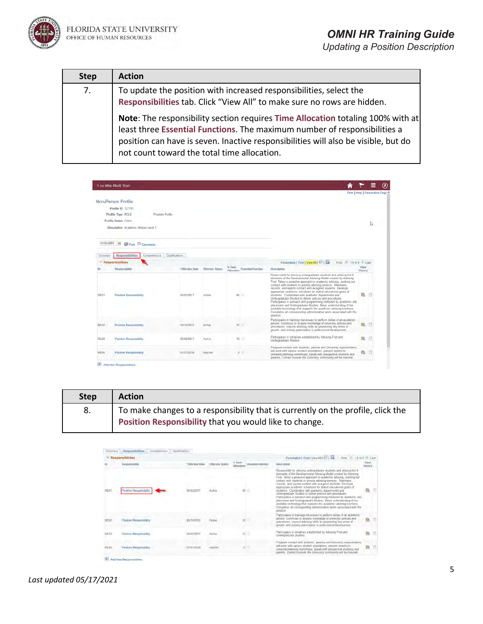

| <b>Step</b> | <b>Action</b>                                                                                                                                                                                                                                                                                     |
|-------------|---------------------------------------------------------------------------------------------------------------------------------------------------------------------------------------------------------------------------------------------------------------------------------------------------|
| 7.          | To update the position with increased responsibilities, select the<br>Responsibilities tab. Click "View All" to make sure no rows are hidden.                                                                                                                                                     |
|             | Note: The responsibility section requires Time Allocation totaling 100% with at<br>least three Essential Functions. The maximum number of responsibilities a<br>position can have is seven. Inactive responsibilities will also be visible, but do<br>not count toward the total time allocation. |

|            | <b>K au Mss Multi Tran</b>               |                 |                         |                               |                                                                                                                                                                                                                                                                                                                                                                                                                                                                                                                                                                                                                                                                                                                                                                                                                                                  |                 |                                   | ◉ |
|------------|------------------------------------------|-----------------|-------------------------|-------------------------------|--------------------------------------------------------------------------------------------------------------------------------------------------------------------------------------------------------------------------------------------------------------------------------------------------------------------------------------------------------------------------------------------------------------------------------------------------------------------------------------------------------------------------------------------------------------------------------------------------------------------------------------------------------------------------------------------------------------------------------------------------------------------------------------------------------------------------------------------------|-----------------|-----------------------------------|---|
|            |                                          |                 |                         |                               |                                                                                                                                                                                                                                                                                                                                                                                                                                                                                                                                                                                                                                                                                                                                                                                                                                                  |                 | Print   Help   Personalize Page A |   |
|            | Non-Person Profile                       |                 |                         |                               |                                                                                                                                                                                                                                                                                                                                                                                                                                                                                                                                                                                                                                                                                                                                                                                                                                                  |                 |                                   |   |
|            | Profile ID 127191                        |                 |                         |                               |                                                                                                                                                                                                                                                                                                                                                                                                                                                                                                                                                                                                                                                                                                                                                                                                                                                  |                 |                                   |   |
|            | Position Profile<br>Profile Type ROLE    |                 |                         |                               |                                                                                                                                                                                                                                                                                                                                                                                                                                                                                                                                                                                                                                                                                                                                                                                                                                                  |                 |                                   |   |
|            | Profile Status Active                    |                 |                         |                               |                                                                                                                                                                                                                                                                                                                                                                                                                                                                                                                                                                                                                                                                                                                                                                                                                                                  |                 | I,                                |   |
|            | Description Academic Advisor Level 1     |                 |                         |                               |                                                                                                                                                                                                                                                                                                                                                                                                                                                                                                                                                                                                                                                                                                                                                                                                                                                  |                 |                                   |   |
|            |                                          |                 |                         |                               |                                                                                                                                                                                                                                                                                                                                                                                                                                                                                                                                                                                                                                                                                                                                                                                                                                                  |                 |                                   |   |
| 04/25/2018 | $\sqrt{2+1}$<br><b>S</b> Port © Comments |                 |                         |                               |                                                                                                                                                                                                                                                                                                                                                                                                                                                                                                                                                                                                                                                                                                                                                                                                                                                  |                 |                                   |   |
|            |                                          |                 |                         |                               |                                                                                                                                                                                                                                                                                                                                                                                                                                                                                                                                                                                                                                                                                                                                                                                                                                                  |                 |                                   |   |
| Summary    | Responsibilities<br>Competencies         | Qualifications  |                         |                               |                                                                                                                                                                                                                                                                                                                                                                                                                                                                                                                                                                                                                                                                                                                                                                                                                                                  |                 |                                   |   |
|            | <b>Responsibilities</b>                  |                 |                         |                               | Personalize   Find   View All   120   136<br>First <sup>4</sup> 1-4 of 4 <sup>4</sup> Last                                                                                                                                                                                                                                                                                                                                                                                                                                                                                                                                                                                                                                                                                                                                                       |                 |                                   |   |
|            | Responsibility                           | "Effective Date | <b>Effective Status</b> | Allocation Essential Function | Description                                                                                                                                                                                                                                                                                                                                                                                                                                                                                                                                                                                                                                                                                                                                                                                                                                      | View<br>History |                                   |   |
| RE01       | Position Responsibility                  | 06/02/2017      | Active                  | $80 - 1$                      | Responsible for advising undergraduate students and utilizing the 6<br>elements of the Developmental Advising Model created by Advising<br>First. Takes a proactive approach to academic advising, seeking out.<br>contact with students to provide advising services. Maintains,<br>records, and reports contact with assigned students. Develops<br>appropriate academic schedules for stated educational goals of<br>students. Coordinates with academic departments and<br>Undergraduate Studies to deliver policies and procedures.<br>Participates in outreach and programming instituted by academic site.<br>placement and Undergraduate Studies. Basic understanding of the<br>available technology that supports the academic advising functions.<br>Completes all corresponding administrative tasks associated with the<br>position. |                 |                                   |   |
| RE02       | Position Responsibility.                 | 08/14/2015      | Active                  | $10-10$                       | Participates in trainings necessary to perform duties of an academic<br>advisor. Continues to acquire knowledge of university policies and<br>procedures, improve advising skills by pinpointing key areas of<br>growth, and actively participates in professional development.                                                                                                                                                                                                                                                                                                                                                                                                                                                                                                                                                                  |                 |                                   |   |
|            | Position Responsibility                  | 06/02/2017      | Active                  | 10<br>ø                       | Participates in initiatives established by Advising First and<br>Undergraduate Studies.                                                                                                                                                                                                                                                                                                                                                                                                                                                                                                                                                                                                                                                                                                                                                          | 75              |                                   |   |
| RE03       |                                          |                 |                         |                               |                                                                                                                                                                                                                                                                                                                                                                                                                                                                                                                                                                                                                                                                                                                                                                                                                                                  |                 |                                   |   |

| <b>Step</b> | <b>Action</b>                                                                   |
|-------------|---------------------------------------------------------------------------------|
| 8.          | To make changes to a responsibility that is currently on the profile, click the |
|             | Position Responsibility that you would like to change.                          |

|             | Responsibilities               |                 |                         |                                                            | Personalize   Find   View All   L <sup>21</sup>   Lat<br>First.<br>A SAMA A Last                                                                                                                                                                                                                                                                                                                                                                                                                                                                                                                                                                                                                                                                                                                                                               |                   |  |
|-------------|--------------------------------|-----------------|-------------------------|------------------------------------------------------------|------------------------------------------------------------------------------------------------------------------------------------------------------------------------------------------------------------------------------------------------------------------------------------------------------------------------------------------------------------------------------------------------------------------------------------------------------------------------------------------------------------------------------------------------------------------------------------------------------------------------------------------------------------------------------------------------------------------------------------------------------------------------------------------------------------------------------------------------|-------------------|--|
|             | Responsibility                 | *Effective Date | <b>Effective Status</b> | % Time<br><b>Essential Function</b><br><b>Allow withon</b> | Description                                                                                                                                                                                                                                                                                                                                                                                                                                                                                                                                                                                                                                                                                                                                                                                                                                    | Vienta<br>History |  |
| RE01        | Position Responsibility        | 06/02/2017      | Active                  |                                                            | Responsible for advising undergraduate students and utilizing the fi-<br>slements of the Developmental Advance Model created by Advance<br>First. Takes a proactive approach to academic advantg, seeking out<br>contact with atudents to provide advising services. Maintains.<br>records, and reports contact with assigned students. Develops:<br>appropriate academic schedules for stated educational goals of<br>students. Coordinates with academic departments and<br>Undergraduate Studies to deliver policies and procedures.<br>Participates in cubreach and programming instituted by academic site.<br>placement and Undergraduate Studies: Basic understanding of the<br>available technology that supports the academic advising functions.<br>Completes all corresponding administrative tasks associated with the<br>position |                   |  |
| <b>HE02</b> | Poston Responsibility          | 08/14/2015      | Artive                  | 10                                                         | Participates in trainings necessary to perform duties of an academic<br>advisor. Continues to acquire knowledge of university policies and<br>procedures, improve advising skills by pinpointing key areas of<br>growth, and actively participates in professional development                                                                                                                                                                                                                                                                                                                                                                                                                                                                                                                                                                 |                   |  |
| <b>RE03</b> | Position Responsibility        | 06/02/2011      | Azine                   | R<br>10.                                                   | Participates in initiatives established by Advising First and<br>Undergraduate Studies                                                                                                                                                                                                                                                                                                                                                                                                                                                                                                                                                                                                                                                                                                                                                         | 融                 |  |
| REDA        | <b>Position Responsibility</b> | 07/01/2015      | Insition                | ÷                                                          | Frequent contact with students, parents and University representative.<br>will work with vanous student populations, present reports to<br>uswersity/advising workshops; speak with prospective students and<br>parents. Contact outside the University community will be minimal.                                                                                                                                                                                                                                                                                                                                                                                                                                                                                                                                                             |                   |  |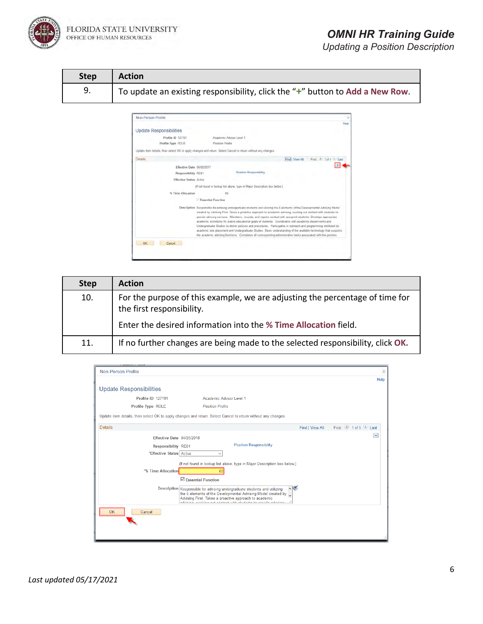

FLORIDA STATE UNIVERSITY OFFICE OF HUMAN RESOURCES

## *OMNI HR Training Guide*

| <b>Step</b> | <b>Action</b>                                                                |
|-------------|------------------------------------------------------------------------------|
| 9.          | To update an existing responsibility, click the "+" button to Add a New Row. |



| <b>Step</b> | <b>Action</b>                                                                                             |
|-------------|-----------------------------------------------------------------------------------------------------------|
| 10.         | For the purpose of this example, we are adjusting the percentage of time for<br>the first responsibility. |
|             | Enter the desired information into the % Time Allocation field.                                           |
| 11.         | If no further changes are being made to the selected responsibility, click OK.                            |

| <b>DOILIDIT LIQUIC</b>         |                                                                                                                  |                 |                   |                          |
|--------------------------------|------------------------------------------------------------------------------------------------------------------|-----------------|-------------------|--------------------------|
| <b>Non-Person Profile</b>      |                                                                                                                  |                 |                   | $\times$                 |
|                                |                                                                                                                  |                 |                   | Help                     |
| <b>Update Responsibilities</b> |                                                                                                                  |                 |                   |                          |
| <b>Profile ID 127191</b>       | Academic Advisor Level 1                                                                                         |                 |                   |                          |
| Profile Type ROLE              | <b>Position Profile</b>                                                                                          |                 |                   |                          |
|                                | Update item details, then select OK to apply changes and return. Select Cancel to return without any changes.    |                 |                   |                          |
| <b>Details</b>                 |                                                                                                                  | Find   View All | First 1 of 5 Last |                          |
| Effective Date 04/25/2018      |                                                                                                                  |                 |                   | $\overline{\phantom{0}}$ |
|                                | <b>Position Responsibility</b>                                                                                   |                 |                   |                          |
| <b>Responsibility RE01</b>     |                                                                                                                  |                 |                   |                          |
| *Effective Status Active       | $\checkmark$                                                                                                     |                 |                   |                          |
|                                | (If not found in lookup list above, type in Major Description box below.)                                        |                 |                   |                          |
|                                |                                                                                                                  |                 |                   |                          |
| *% Time Allocation             | 60                                                                                                               |                 |                   |                          |
|                                | $\boxdot$ Essential Function                                                                                     |                 |                   |                          |
|                                | $\sim$<br>Description Responsible for advising undergraduate students and utilizing                              |                 |                   |                          |
|                                | the 6 elements of the Developmental Advising Model created by                                                    |                 |                   |                          |
|                                | Advising First. Takes a proactive approach to academic<br>a cidarda mar internacia ra constato caracter<br>- all |                 |                   |                          |
|                                |                                                                                                                  |                 |                   |                          |
| <b>OK</b><br>Cancel            |                                                                                                                  |                 |                   |                          |
|                                |                                                                                                                  |                 |                   |                          |
|                                |                                                                                                                  |                 |                   |                          |
|                                |                                                                                                                  |                 |                   |                          |
|                                |                                                                                                                  |                 |                   |                          |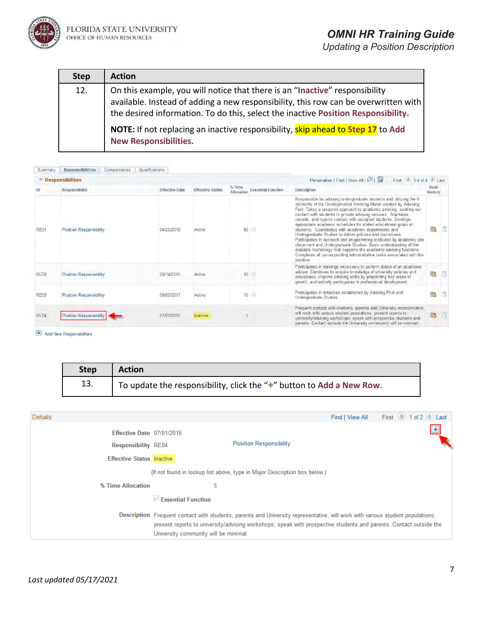

| <b>Step</b> | <b>Action</b>                                                                                                                                                                                                                                           |
|-------------|---------------------------------------------------------------------------------------------------------------------------------------------------------------------------------------------------------------------------------------------------------|
| 12.         | On this example, you will notice that there is an "Inactive" responsibility<br>available. Instead of adding a new responsibility, this row can be overwritten with<br>the desired information. To do this, select the inactive Position Responsibility. |
|             | NOTE: If not replacing an inactive responsibility, skip ahead to Step 17 to Add<br><b>New Responsibilities.</b>                                                                                                                                         |

| Summary     | <b>Responsibilities</b><br>Competencies | Qualifications        |                         |                                                   |                                                                                                                                                                                                                                                                                                                                                                                                                                                                                                                                                                                                                                                                                                                                                                                                                                                |                 |     |
|-------------|-----------------------------------------|-----------------------|-------------------------|---------------------------------------------------|------------------------------------------------------------------------------------------------------------------------------------------------------------------------------------------------------------------------------------------------------------------------------------------------------------------------------------------------------------------------------------------------------------------------------------------------------------------------------------------------------------------------------------------------------------------------------------------------------------------------------------------------------------------------------------------------------------------------------------------------------------------------------------------------------------------------------------------------|-----------------|-----|
|             | <b>Responsibilities</b>                 |                       |                         |                                                   | Personalize   Find   View All   [3]  <br>$1-4$ of $4$ Last<br>First                                                                                                                                                                                                                                                                                                                                                                                                                                                                                                                                                                                                                                                                                                                                                                            |                 |     |
|             | <b>Responsibility</b>                   | <b>Effective Date</b> | <b>Effective Status</b> | % Time<br><b>Essential Function</b><br>Allocation | <b>Description</b>                                                                                                                                                                                                                                                                                                                                                                                                                                                                                                                                                                                                                                                                                                                                                                                                                             | View<br>History |     |
| RE01        | <b>Position Responsibility</b>          | 04/25/2018            | Active                  | 60                                                | Responsible for advising undergraduate students and utilizing the 6<br>elements of the Developmental Advising Model created by Advising<br>First. Takes a proactive approach to academic advising, seeking out<br>contact with students to provide advising services. Maintains,<br>records, and reports contact with assigned students. Develops<br>appropriate academic schedules for stated educational goals of<br>students. Coordinates with academic departments and<br>Undergraduate Studies to deliver policies and procedures.<br>Participates in outreach and programming instituted by academic site<br>placement and Undergraduate Studies. Basic understanding of the<br>available technology that supports the academic advising functions.<br>Completes all corresponding administrative tasks associated with the<br>position. |                 |     |
| <b>RE02</b> | <b>Position Responsibility</b>          | 08/14/2015            | Active                  | $10$ $\vee$                                       | Participates in trainings necessary to perform duties of an academic<br>advisor. Continues to acquire knowledge of university policies and<br>procedures, improve advising skills by pinpointing key areas of<br>growth, and actively participates in professional development.                                                                                                                                                                                                                                                                                                                                                                                                                                                                                                                                                                | 醠               |     |
| <b>RE03</b> | Position Responsibility                 | 06/02/2017            | Active                  | $10$ $\triangleright$                             | Participates in initiatives established by Advising First and<br>Undergraduate Studies.                                                                                                                                                                                                                                                                                                                                                                                                                                                                                                                                                                                                                                                                                                                                                        |                 |     |
| <b>RE04</b> | Position Responsibility                 | 07/01/2016            | Inactive                | $5 -$                                             | Frequent contact with students, parents and University representative,<br>will work with various student populations; present reports to<br>university/advising workshops; speak with prospective students and<br>parents. Contact outside the University community will be minimal.                                                                                                                                                                                                                                                                                                                                                                                                                                                                                                                                                           | 罌               | - 6 |

Add New Responsibilities

| <b>Step</b> | <b>Action</b>                                                            |
|-------------|--------------------------------------------------------------------------|
| 13.         | To update the responsibility, click the " $+$ " button to Add a New Row. |

| <b>Details</b>                                          |                                       |                                                                                                                                                                                                                                                      | Find   View All | First 1 of 2 Last |  |
|---------------------------------------------------------|---------------------------------------|------------------------------------------------------------------------------------------------------------------------------------------------------------------------------------------------------------------------------------------------------|-----------------|-------------------|--|
| Effective Date 07/01/2016<br><b>Responsibility RE04</b> |                                       | <b>Position Responsibility</b>                                                                                                                                                                                                                       |                 |                   |  |
| <b>Effective Status Inactive</b>                        |                                       |                                                                                                                                                                                                                                                      |                 |                   |  |
|                                                         |                                       | (If not found in lookup list above, type in Major Description box below.)                                                                                                                                                                            |                 |                   |  |
| % Time Allocation                                       | 5                                     |                                                                                                                                                                                                                                                      |                 |                   |  |
|                                                         | $\vee$ Essential Eunction             |                                                                                                                                                                                                                                                      |                 |                   |  |
|                                                         | University community will be minimal. | Description Frequent contact with students, parents and University representative, will work with various student populations;<br>present reports to university/advising workshops; speak with prospective students and parents. Contact outside the |                 |                   |  |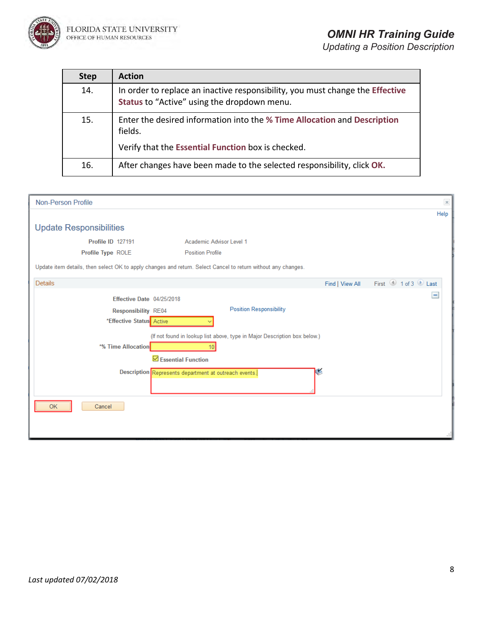

| <b>Step</b> | <b>Action</b>                                                                                                                |
|-------------|------------------------------------------------------------------------------------------------------------------------------|
| 14.         | In order to replace an inactive responsibility, you must change the Effective<br>Status to "Active" using the dropdown menu. |
| 15.         | Enter the desired information into the % Time Allocation and Description<br>fields.                                          |
|             | Verify that the Essential Function box is checked.                                                                           |
| 16.         | After changes have been made to the selected responsibility, click OK.                                                       |

| <b>Non-Person Profile</b>                                                                                     | $\times$                                                                  |
|---------------------------------------------------------------------------------------------------------------|---------------------------------------------------------------------------|
|                                                                                                               | Help                                                                      |
| <b>Update Responsibilities</b>                                                                                |                                                                           |
| Profile ID 127191                                                                                             | Academic Advisor Level 1                                                  |
| Profile Type ROLE                                                                                             | <b>Position Profile</b>                                                   |
| Update item details, then select OK to apply changes and return. Select Cancel to return without any changes. |                                                                           |
| Details                                                                                                       | First 1 of 3 D Last<br>Find   View All                                    |
| Effective Date 04/25/2018                                                                                     |                                                                           |
| <b>Responsibility RE04</b>                                                                                    | <b>Position Responsibility</b>                                            |
| *Effective Status Active                                                                                      |                                                                           |
|                                                                                                               | (If not found in lookup list above, type in Major Description box below.) |
| *% Time Allocation                                                                                            | 10 <sup>1</sup>                                                           |
|                                                                                                               | $\boxdot$ Essential Function                                              |
|                                                                                                               | Description Represents department at outreach events.                     |
|                                                                                                               |                                                                           |
| Cancel<br>OK                                                                                                  |                                                                           |
|                                                                                                               |                                                                           |
|                                                                                                               |                                                                           |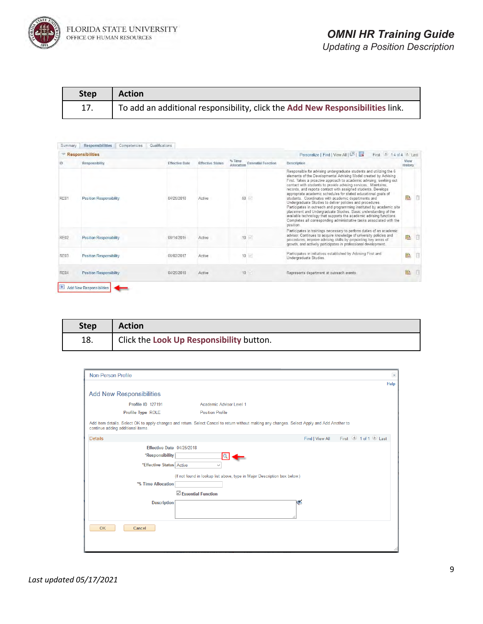

| <b>Step</b> | <b>Action</b>                                                                 |
|-------------|-------------------------------------------------------------------------------|
| 17.         | To add an additional responsibility, click the Add New Responsibilities link. |

|             | <b>Responsibilities</b>        |                       |                         |                      |                           | Personalize   Find   View All   8<br>$14$ of $4$ Last<br>First                                                                                                                                                                                                                                                                                                                                                                                                                                                                                                                                                                                                                                                                                                                                                                                 |                 |   |
|-------------|--------------------------------|-----------------------|-------------------------|----------------------|---------------------------|------------------------------------------------------------------------------------------------------------------------------------------------------------------------------------------------------------------------------------------------------------------------------------------------------------------------------------------------------------------------------------------------------------------------------------------------------------------------------------------------------------------------------------------------------------------------------------------------------------------------------------------------------------------------------------------------------------------------------------------------------------------------------------------------------------------------------------------------|-----------------|---|
| ID          | Responsibility                 | <b>Effective Date</b> | <b>Effective Status</b> | % Time<br>Allocation | <b>Essential Function</b> | Description                                                                                                                                                                                                                                                                                                                                                                                                                                                                                                                                                                                                                                                                                                                                                                                                                                    | View<br>History |   |
| RE01        | <b>Position Responsibility</b> | 04/25/2018            | Active                  |                      | 60                        | Responsible for advising undergraduate students and utilizing the 6<br>elements of the Developmental Advising Model created by Advising<br>First. Takes a proactive approach to academic advising, seeking out<br>contact with students to provide advising services. Maintains,<br>records, and reports contact with assigned students. Develops<br>appropriate academic schedules for stated educational goals of<br>students. Coordinates with academic departments and<br>Undergraduate Studies to deliver policies and procedures.<br>Participates in outreach and programming instituted by academic site<br>placement and Undergraduate Studies. Basic understanding of the<br>available technology that supports the academic advising functions.<br>Completes all corresponding administrative tasks associated with the<br>position. | 醖               | 同 |
| RE02        | <b>Position Responsibility</b> | 08/14/2015            | Active                  |                      | $10 \times$               | Participates in trainings necessary to perform duties of an academic<br>advisor. Continues to acquire knowledge of university policies and<br>procedures, improve advising skills by pinpointing key areas of<br>growth, and actively participates in professional development.                                                                                                                                                                                                                                                                                                                                                                                                                                                                                                                                                                | 融               | n |
| <b>RE03</b> | <b>Position Responsibility</b> | 06/02/2017            | Active                  |                      | $10$ $\sim$               | Participates in initiatives established by Advising First and<br>Undergraduate Studies.                                                                                                                                                                                                                                                                                                                                                                                                                                                                                                                                                                                                                                                                                                                                                        | 鹝               | n |
| <b>RE04</b> | <b>Position Responsibility</b> | 04/25/2018            | Active                  |                      | $10 \leq$                 | Represents department at outreach events                                                                                                                                                                                                                                                                                                                                                                                                                                                                                                                                                                                                                                                                                                                                                                                                       | 匷               | n |

| <b>Step</b> | <b>Action</b>                            |
|-------------|------------------------------------------|
| 18.         | Click the Look Up Responsibility button. |

| <b>Non-Person Profile</b>         | $\times$                                                                                                                                     |
|-----------------------------------|----------------------------------------------------------------------------------------------------------------------------------------------|
|                                   | Help                                                                                                                                         |
| <b>Add New Responsibilities</b>   |                                                                                                                                              |
| <b>Profile ID 127191</b>          | Academic Advisor Level 1                                                                                                                     |
| Profile Type ROLE                 | <b>Position Profile</b>                                                                                                                      |
| continue adding additional items. | Add item details. Select OK to apply changes and return. Select Cancel to return without making any changes. Select Apply and Add Another to |
| <b>Details</b>                    | First 1 of 1 D Last<br>Find   View All                                                                                                       |
| Effective Date 04/25/2018         |                                                                                                                                              |
| *Responsibility                   |                                                                                                                                              |
| *Effective Status Active          | $\checkmark$                                                                                                                                 |
|                                   | (If not found in lookup list above, type in Major Description box below.)                                                                    |
| *% Time Allocation                |                                                                                                                                              |
|                                   | $\boxdot$ Essential Function                                                                                                                 |
| <b>Description</b>                | ٧                                                                                                                                            |
| <b>OK</b><br>Cancel               |                                                                                                                                              |
|                                   |                                                                                                                                              |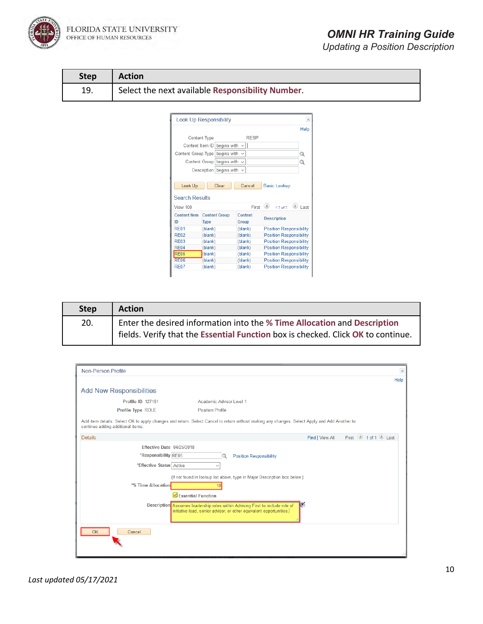

FLORIDA STATE UNIVERSITY<br>office of human resources

## *OMNI HR Training Guide*

| <b>Step</b> | <b>Action</b>                                    |
|-------------|--------------------------------------------------|
| 19.         | Select the next available Responsibility Number. |

| <b>Look Up Responsibility</b>      |                                     |                         |                                                                        |  |  |  |  |
|------------------------------------|-------------------------------------|-------------------------|------------------------------------------------------------------------|--|--|--|--|
|                                    |                                     |                         | Help                                                                   |  |  |  |  |
| <b>Content Type</b><br><b>RESP</b> |                                     |                         |                                                                        |  |  |  |  |
|                                    | Content Item ID begins with         |                         |                                                                        |  |  |  |  |
|                                    | Content Group Type begins with      |                         | Q                                                                      |  |  |  |  |
|                                    | Content Group begins with           | $\checkmark$            | Q                                                                      |  |  |  |  |
|                                    | Description begins with             | $\checkmark$            |                                                                        |  |  |  |  |
|                                    |                                     |                         |                                                                        |  |  |  |  |
|                                    |                                     |                         |                                                                        |  |  |  |  |
| Look Up                            | Clear                               | Cancel                  | <b>Basic Lookup</b>                                                    |  |  |  |  |
|                                    |                                     |                         |                                                                        |  |  |  |  |
| <b>Search Results</b><br>View 100  |                                     | First                   | $(\triangleright)$<br>$\left( 4\right)$<br><b>Last</b><br>$1-7$ of $7$ |  |  |  |  |
| <b>Content Item</b><br>ID          | <b>Content Group</b><br><b>Type</b> | Content<br><b>Group</b> | <b>Description</b>                                                     |  |  |  |  |
| <b>RF01</b>                        | (blank)                             | (blank)                 | <b>Position Responsibility</b>                                         |  |  |  |  |
| <b>RF02</b>                        | (blank)                             | (blank)                 | Position Responsibility                                                |  |  |  |  |
| <b>RF03</b>                        | (blank)                             | (blank)                 | <b>Position Responsibility</b>                                         |  |  |  |  |
| <b>RE04</b>                        | (blank)                             | (blank)                 | Position Responsibility                                                |  |  |  |  |
| <b>RE05</b>                        | (blank)                             | (blank)                 | <b>Position Responsibility</b>                                         |  |  |  |  |
| <b>RE06</b>                        | (blank)                             | (blank)                 | <b>Position Responsibility</b>                                         |  |  |  |  |

| <b>Step</b> | <b>Action</b>                                                                         |
|-------------|---------------------------------------------------------------------------------------|
| 20.         | <sup>1</sup> Enter the desired information into the % Time Allocation and Description |
|             | fields. Verify that the Essential Function box is checked. Click OK to continue.      |

| <b>Non-Person Profile</b> |                                   | $\bowtie$                                                                                                                                            |
|---------------------------|-----------------------------------|------------------------------------------------------------------------------------------------------------------------------------------------------|
|                           |                                   | Help                                                                                                                                                 |
|                           | <b>Add New Responsibilities</b>   |                                                                                                                                                      |
|                           | <b>Profile ID 127191</b>          | Academic Advisor Level 1                                                                                                                             |
|                           | Profile Type ROLE                 | <b>Position Profile</b>                                                                                                                              |
|                           | continue adding additional items. | Add item details. Select OK to apply changes and return. Select Cancel to return without making any changes. Select Apply and Add Another to         |
| <b>Details</b>            |                                   | First 1 of 1 Last<br>Find   View All                                                                                                                 |
|                           | Effective Date 04/25/2018         |                                                                                                                                                      |
|                           | *Responsibility RE05              | <b>Position Responsibility</b>                                                                                                                       |
|                           | *Effective Status Active          | $\checkmark$                                                                                                                                         |
|                           |                                   | (If not found in lookup list above, type in Major Description box below.)                                                                            |
|                           | *% Time Allocation                | 10                                                                                                                                                   |
|                           |                                   | $\boxdot$ Essential Function                                                                                                                         |
|                           |                                   | Description Assumes leadership roles within Advising First to include role of<br>initiative lead, senior advisor, or other equivalent opportunities. |
| OK                        | Cancel                            |                                                                                                                                                      |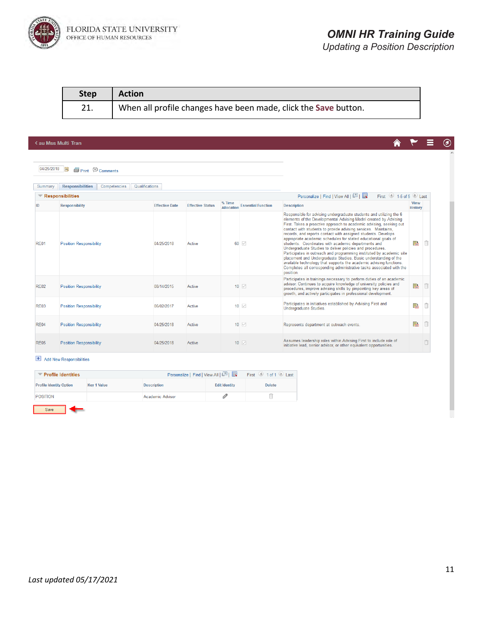

合

 $\circledcirc$ 

Ξ

*Updating a Position Description*

| <b>Step</b> | <b>Action</b>                                                   |
|-------------|-----------------------------------------------------------------|
|             | When all profile changes have been made, click the Save button. |

#### **< su Mss Multi Tran**

04/25/2018 **iii** Print © Comments

| Summary     | <b>Responsibilities</b><br>Qualifications<br>Competencies |                       |                         |                      |                           |                                                                                                                                                                                                                                                                                                                                                                                                                                                                                                                                                                                                                                                                                                                                                                                                                                                |                               |  |
|-------------|-----------------------------------------------------------|-----------------------|-------------------------|----------------------|---------------------------|------------------------------------------------------------------------------------------------------------------------------------------------------------------------------------------------------------------------------------------------------------------------------------------------------------------------------------------------------------------------------------------------------------------------------------------------------------------------------------------------------------------------------------------------------------------------------------------------------------------------------------------------------------------------------------------------------------------------------------------------------------------------------------------------------------------------------------------------|-------------------------------|--|
|             | Responsibilities                                          |                       |                         |                      |                           | First $\bigcirc$ 1-5 of 5 $\bigcirc$ Last<br>Personalize   Find   View All   2                                                                                                                                                                                                                                                                                                                                                                                                                                                                                                                                                                                                                                                                                                                                                                 |                               |  |
| ID          | <b>Responsibility</b>                                     | <b>Effective Date</b> | <b>Effective Status</b> | % Time<br>Allocation | <b>Essential Function</b> | <b>Description</b>                                                                                                                                                                                                                                                                                                                                                                                                                                                                                                                                                                                                                                                                                                                                                                                                                             | <b>View</b><br><b>History</b> |  |
| <b>RE01</b> | <b>Position Responsibility</b>                            | 04/25/2018            | Active                  |                      | $60$ $\vee$               | Responsible for advising undergraduate students and utilizing the 6<br>elements of the Developmental Advising Model created by Advising<br>First. Takes a proactive approach to academic advising, seeking out<br>contact with students to provide advising services. Maintains,<br>records, and reports contact with assigned students. Develops<br>appropriate academic schedules for stated educational goals of<br>students. Coordinates with academic departments and<br>Undergraduate Studies to deliver policies and procedures.<br>Participates in outreach and programming instituted by academic site<br>placement and Undergraduate Studies. Basic understanding of the<br>available technology that supports the academic advising functions.<br>Completes all corresponding administrative tasks associated with the<br>position. |                               |  |
| <b>RE02</b> | <b>Position Responsibility</b>                            | 08/14/2015            | Active                  |                      | $10$ $\vee$               | Participates in trainings necessary to perform duties of an academic<br>advisor. Continues to acquire knowledge of university policies and<br>procedures, improve advising skills by pinpointing key areas of<br>growth, and actively participates in professional development.                                                                                                                                                                                                                                                                                                                                                                                                                                                                                                                                                                | ë                             |  |
| RF03        | <b>Position Responsibility</b>                            | 06/02/2017            | Active                  |                      | $10$ $\vee$               | Participates in initiatives established by Advising First and<br>Undergraduate Studies.                                                                                                                                                                                                                                                                                                                                                                                                                                                                                                                                                                                                                                                                                                                                                        | l.                            |  |
| <b>RE04</b> | <b>Position Responsibility</b>                            | 04/25/2018            | Active                  |                      | $10$ $\vee$               | Represents department at outreach events.                                                                                                                                                                                                                                                                                                                                                                                                                                                                                                                                                                                                                                                                                                                                                                                                      | H                             |  |
| <b>RE05</b> | <b>Position Responsibility</b>                            | 04/25/2018            | Active                  |                      | $10$ $\triangledown$      | Assumes leadership roles within Advising First to include role of<br>initiative lead, senior advisor, or other equivalent opportunities.                                                                                                                                                                                                                                                                                                                                                                                                                                                                                                                                                                                                                                                                                                       |                               |  |

#### $\overline{\phantom{1}}$  Add New Responsibilities

| <b>Profile Identities</b><br>▼ |                    | Personalize   Find   View All   2 | First 1 of 1 Last    |               |  |
|--------------------------------|--------------------|-----------------------------------|----------------------|---------------|--|
| <b>Profile Identity Option</b> | <b>Key 1 Value</b> | <b>Description</b>                | <b>Edit Identity</b> | <b>Delete</b> |  |
| POSITION                       |                    | Academic Advisor                  |                      |               |  |
| Save                           |                    |                                   |                      |               |  |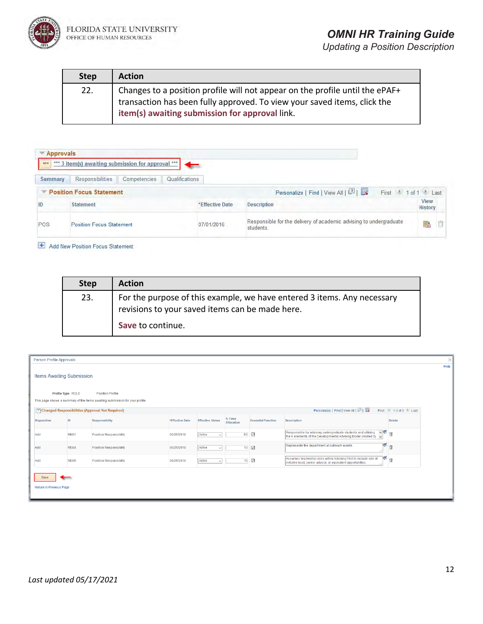

| <b>Step</b> | <b>Action</b>                                                                                                                                                                                              |
|-------------|------------------------------------------------------------------------------------------------------------------------------------------------------------------------------------------------------------|
| 22.         | Changes to a position profile will not appear on the profile until the ePAF+<br>transaction has been fully approved. To view your saved items, click the<br>item(s) awaiting submission for approval link. |

| <b>Approvals</b> |                                                    |                 |                                                                                 |                         |
|------------------|----------------------------------------------------|-----------------|---------------------------------------------------------------------------------|-------------------------|
| ***              | *** 3 item(s) awaiting submission for approval *** |                 |                                                                                 |                         |
| Summary          | Responsibilities<br>Competencies                   | Qualifications  |                                                                                 |                         |
|                  | <b>Position Focus Statement</b>                    |                 | Personalize   Find   View All   2  <br>First                                    | last<br>10 <sup>4</sup> |
| ID               | <b>Statement</b>                                   | *Effective Date | <b>Description</b>                                                              | View<br>History         |
| POS              | <b>Position Focus Statement</b>                    | 07/01/2016      | Responsible for the delivery of academic advising to undergraduate<br>students. | 瑞                       |

Add New Position Focus Statement

| <b>Step</b> | <b>Action</b>                                                                                                              |
|-------------|----------------------------------------------------------------------------------------------------------------------------|
| 23.         | For the purpose of this example, we have entered 3 items. Any necessary<br>revisions to your saved items can be made here. |
|             | Save to continue.                                                                                                          |

| Person Profile Approvals         |                   |                                                                              |                 |                         |                      |                           |                                                                                                                                      |                     | $\times$ |
|----------------------------------|-------------------|------------------------------------------------------------------------------|-----------------|-------------------------|----------------------|---------------------------|--------------------------------------------------------------------------------------------------------------------------------------|---------------------|----------|
| <b>Items Awaiting Submission</b> |                   |                                                                              |                 |                         |                      |                           |                                                                                                                                      |                     | Help     |
|                                  | Profile Type ROLE | <b>Position Profile</b>                                                      |                 |                         |                      |                           |                                                                                                                                      |                     |          |
|                                  |                   | This page shows a summary of the items awaiting submission for your profile. |                 |                         |                      |                           |                                                                                                                                      |                     |          |
|                                  |                   | Changed Responsibilities (Approval Not Required)                             |                 |                         |                      |                           | Personalize   Find   View All   2                                                                                                    | First 1-3 of 3 Last |          |
| <b>Disposition</b>               | ID                | Responsibility                                                               | *Effective Date | <b>Effective Status</b> | % Time<br>Allocation | <b>Essential Function</b> | Description                                                                                                                          | Delete              |          |
| Add                              | RE01              | <b>Position Responsibility</b>                                               | 06/25/2018      | Active<br>$\checkmark$  | 60                   | $\overline{\vee}$         | Responsible for advising undergraduate students and utilizing<br>the 6 elements of the Developmental Advising Model created by<br>M: | 一下                  |          |
| Add                              | <b>RE04</b>       | <b>Position Responsibility</b>                                               | 06/25/2018      | Active<br>$\checkmark$  | 10                   | ☑                         | Represents the department at outreach events.                                                                                        | ¥ ti                |          |
| Add                              | <b>RE05</b>       | <b>Position Responsibility</b>                                               | 06/25/2018      | Active<br>$\vee$        | 10 <sub>10</sub>     | $\overline{\vee}$         | Assumes leadership roles within Advising First to include role of<br>initiative lead, senior advisor, or equivalent opportunities.   | ¥ ii                |          |
| <b>Return to Previous Page</b>   |                   |                                                                              |                 |                         |                      |                           |                                                                                                                                      |                     |          |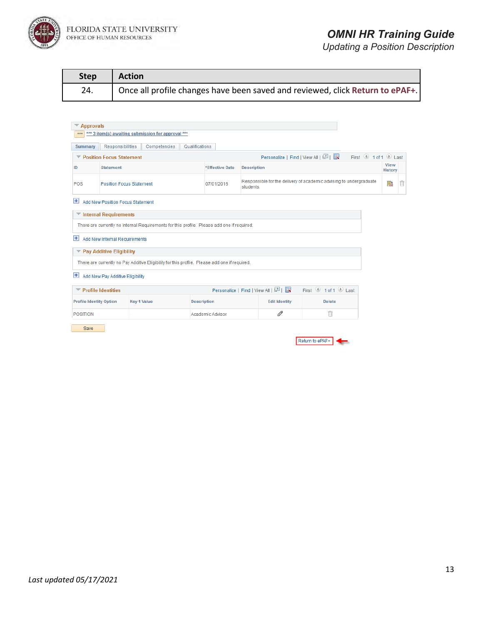

### *OMNI HR Training Guide*

*Updating a Position Description*

| Step | <b>Action</b>                                                                 |
|------|-------------------------------------------------------------------------------|
| 24.  | Once all profile changes have been saved and reviewed, click Return to ePAF+. |

| <b>Summary</b>                 | <b>Responsibilities</b>                 | Competencies                                                                                  | Qualifications     |                 |                                                                                 |                                                                                                             |                     |                               |  |
|--------------------------------|-----------------------------------------|-----------------------------------------------------------------------------------------------|--------------------|-----------------|---------------------------------------------------------------------------------|-------------------------------------------------------------------------------------------------------------|---------------------|-------------------------------|--|
|                                | ▼ Position Focus Statement              |                                                                                               |                    |                 |                                                                                 | Personalize   Find   View All   2   표                                                                       | First 1 of 1 D Last |                               |  |
| ID                             | <b>Statement</b>                        |                                                                                               |                    | *Effective Date | <b>Description</b>                                                              |                                                                                                             |                     | <b>View</b><br><b>History</b> |  |
| POS                            | <b>Position Focus Statement</b>         |                                                                                               |                    | 07/01/2016      | Responsible for the delivery of academic advising to undergraduate<br>students. |                                                                                                             |                     |                               |  |
| $\left  + \right $             | <b>Add New Position Focus Statement</b> |                                                                                               |                    |                 |                                                                                 |                                                                                                             |                     |                               |  |
|                                | Internal Requirements                   |                                                                                               |                    |                 |                                                                                 |                                                                                                             |                     |                               |  |
|                                |                                         | There are currently no Internal Requirements for this profile. Please add one if required.    |                    |                 |                                                                                 |                                                                                                             |                     |                               |  |
| $+$                            | Add New Internal Requirements           |                                                                                               |                    |                 |                                                                                 |                                                                                                             |                     |                               |  |
|                                | <b>▼ Pay Additive Eligibility</b>       |                                                                                               |                    |                 |                                                                                 |                                                                                                             |                     |                               |  |
|                                |                                         | There are currently no Pay Additive Eligibility for this profile. Please add one if required. |                    |                 |                                                                                 |                                                                                                             |                     |                               |  |
|                                |                                         |                                                                                               |                    |                 |                                                                                 |                                                                                                             |                     |                               |  |
| $+$                            | Add New Pay Additive Eligibility        |                                                                                               |                    |                 |                                                                                 |                                                                                                             |                     |                               |  |
|                                | <b>Profile Identities</b>               |                                                                                               |                    |                 | Personalize   Find   View All   2                                               | First $\textcircled{\tiny{\textcircled{\tiny 1}}}$ 1 of 1 $\textcircled{\tiny{\textcircled{\tiny 1}}}$ Last |                     |                               |  |
| <b>Profile Identity Option</b> |                                         | <b>Key 1 Value</b>                                                                            | <b>Description</b> |                 | <b>Edit Identity</b>                                                            | <b>Delete</b>                                                                                               |                     |                               |  |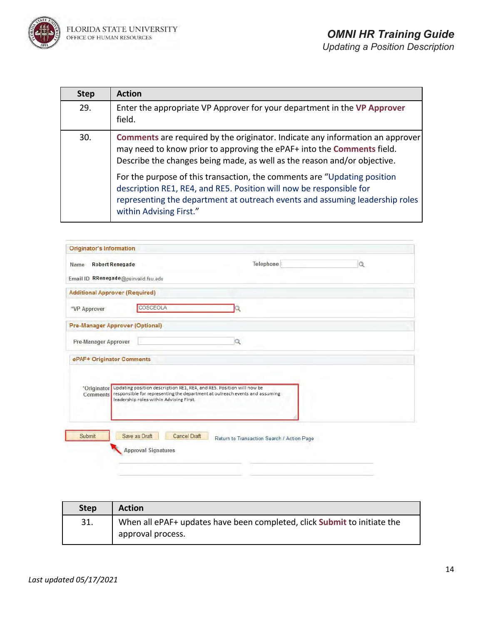

| <b>Step</b> | <b>Action</b>                                                                                                                                                                                                                                              |
|-------------|------------------------------------------------------------------------------------------------------------------------------------------------------------------------------------------------------------------------------------------------------------|
| 29.         | Enter the appropriate VP Approver for your department in the VP Approver<br>field.                                                                                                                                                                         |
| 30.         | Comments are required by the originator. Indicate any information an approver<br>may need to know prior to approving the ePAF+ into the Comments field.<br>Describe the changes being made, as well as the reason and/or objective.                        |
|             | For the purpose of this transaction, the comments are "Updating position<br>description RE1, RE4, and RE5. Position will now be responsible for<br>representing the department at outreach events and assuming leadership roles<br>within Advising First." |

| <b>Originator's Information</b> |                                         |                     |                                                                                   |   |
|---------------------------------|-----------------------------------------|---------------------|-----------------------------------------------------------------------------------|---|
| Name                            | <b>Robert Renegade</b>                  |                     | Telephone                                                                         | Q |
|                                 | Email ID RRenegade@psinvalid.fsu.edu    |                     |                                                                                   |   |
|                                 | <b>Additional Approver (Required)</b>   |                     |                                                                                   |   |
| *VP Approver                    | COSCEOLA                                |                     |                                                                                   |   |
|                                 | <b>Pre-Manager Approver (Optional)</b>  |                     |                                                                                   |   |
| <b>Pre-Manager Approver</b>     |                                         |                     | a                                                                                 |   |
| ePAF+ Originator Comments       |                                         |                     |                                                                                   |   |
|                                 |                                         |                     |                                                                                   |   |
|                                 |                                         |                     | *Originator Updating position description RE1, RE4, and RE5. Position will now be |   |
| <b>Comments</b>                 | leadership roles within Advising First. |                     | responsible for representing the department at outreach events and assuming       |   |
|                                 |                                         |                     |                                                                                   |   |
|                                 |                                         |                     |                                                                                   |   |
| Submit                          | Save as Draft                           | <b>Cancel Draft</b> | Return to Transaction Search / Action Page                                        |   |
|                                 |                                         |                     |                                                                                   |   |
|                                 | <b>Approval Signatures</b>              |                     |                                                                                   |   |

| <b>Step</b> | <b>Action</b>                                                            |
|-------------|--------------------------------------------------------------------------|
| 31.         | When all ePAF+ updates have been completed, click Submit to initiate the |
|             | approval process.                                                        |